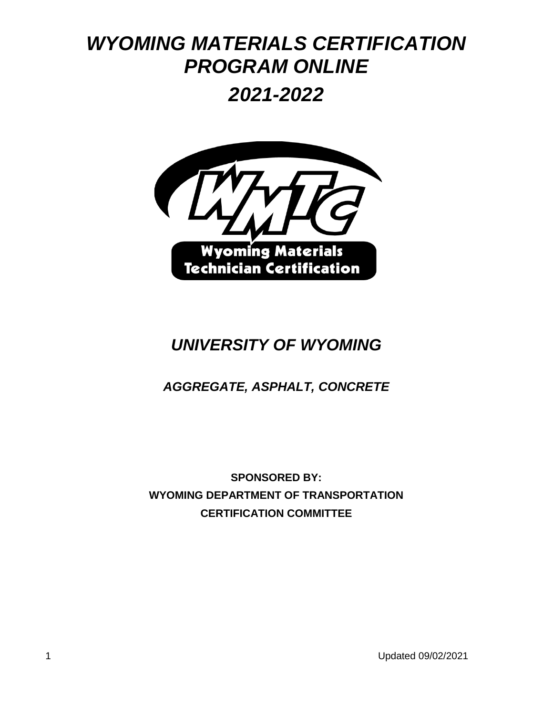# *WYOMING MATERIALS CERTIFICATION PROGRAM ONLINE*

*2021-2022*



# *UNIVERSITY OF WYOMING*

# *AGGREGATE, ASPHALT, CONCRETE*

**SPONSORED BY: WYOMING DEPARTMENT OF TRANSPORTATION CERTIFICATION COMMITTEE**

1 Updated 09/02/2021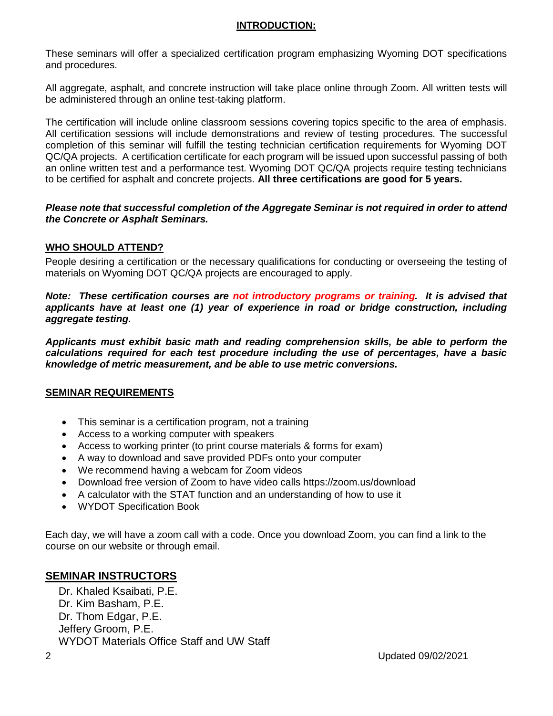#### **INTRODUCTION:**

These seminars will offer a specialized certification program emphasizing Wyoming DOT specifications and procedures.

All aggregate, asphalt, and concrete instruction will take place online through Zoom. All written tests will be administered through an online test-taking platform.

The certification will include online classroom sessions covering topics specific to the area of emphasis. All certification sessions will include demonstrations and review of testing procedures. The successful completion of this seminar will fulfill the testing technician certification requirements for Wyoming DOT QC/QA projects. A certification certificate for each program will be issued upon successful passing of both an online written test and a performance test. Wyoming DOT QC/QA projects require testing technicians to be certified for asphalt and concrete projects. **All three certifications are good for 5 years.**

#### *Please note that successful completion of the Aggregate Seminar is not required in order to attend the Concrete or Asphalt Seminars.*

#### **WHO SHOULD ATTEND?**

People desiring a certification or the necessary qualifications for conducting or overseeing the testing of materials on Wyoming DOT QC/QA projects are encouraged to apply.

*Note: These certification courses are not introductory programs or training. It is advised that applicants have at least one (1) year of experience in road or bridge construction, including aggregate testing.*

*Applicants must exhibit basic math and reading comprehension skills, be able to perform the calculations required for each test procedure including the use of percentages, have a basic knowledge of metric measurement, and be able to use metric conversions.*

#### **SEMINAR REQUIREMENTS**

- This seminar is a certification program, not a training
- Access to a working computer with speakers
- Access to working printer (to print course materials & forms for exam)
- A way to download and save provided PDFs onto your computer
- We recommend having a webcam for Zoom videos
- Download free version of Zoom to have video calls https://zoom.us/download
- A calculator with the STAT function and an understanding of how to use it
- WYDOT Specification Book

Each day, we will have a zoom call with a code. Once you download Zoom, you can find a link to the course on our website or through email.

#### **SEMINAR INSTRUCTORS**

Dr. Khaled Ksaibati, P.E. Dr. Kim Basham, P.E. Dr. Thom Edgar, P.E. Jeffery Groom, P.E. WYDOT Materials Office Staff and UW Staff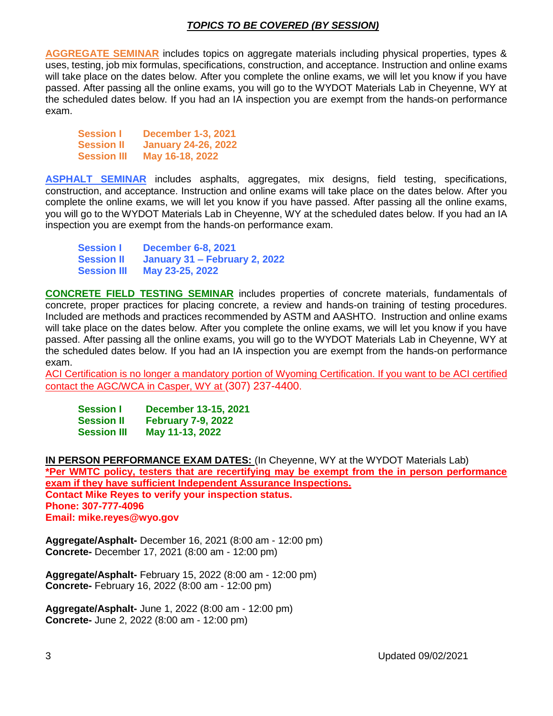#### *TOPICS TO BE COVERED (BY SESSION)*

**AGGREGATE SEMINAR** includes topics on aggregate materials including physical properties, types & uses, testing, job mix formulas, specifications, construction, and acceptance. Instruction and online exams will take place on the dates below. After you complete the online exams, we will let you know if you have passed. After passing all the online exams, you will go to the WYDOT Materials Lab in Cheyenne, WY at the scheduled dates below. If you had an IA inspection you are exempt from the hands-on performance exam.

**Session I December 1-3, 2021 Session II January 24-26, 2022 Session III May 16-18, 2022**

**ASPHALT SEMINAR** includes asphalts, aggregates, mix designs, field testing, specifications, construction, and acceptance. Instruction and online exams will take place on the dates below. After you complete the online exams, we will let you know if you have passed. After passing all the online exams, you will go to the WYDOT Materials Lab in Cheyenne, WY at the scheduled dates below. If you had an IA inspection you are exempt from the hands-on performance exam.

| <b>Session I</b>   | <b>December 6-8, 2021</b>     |
|--------------------|-------------------------------|
| <b>Session II</b>  | January 31 – February 2, 2022 |
| <b>Session III</b> | May 23-25, 2022               |

**CONCRETE FIELD TESTING SEMINAR** includes properties of concrete materials, fundamentals of concrete, proper practices for placing concrete, a review and hands-on training of testing procedures. Included are methods and practices recommended by ASTM and AASHTO. Instruction and online exams will take place on the dates below. After you complete the online exams, we will let you know if you have passed. After passing all the online exams, you will go to the WYDOT Materials Lab in Cheyenne, WY at the scheduled dates below. If you had an IA inspection you are exempt from the hands-on performance exam.

ACI Certification is no longer a mandatory portion of Wyoming Certification. If you want to be ACI certified contact the AGC/WCA in Casper, WY at (307) 237-4400.

| <b>Session I</b>   | December 13-15, 2021      |
|--------------------|---------------------------|
| <b>Session II</b>  | <b>February 7-9, 2022</b> |
| <b>Session III</b> | May 11-13, 2022           |

**IN PERSON PERFORMANCE EXAM DATES:** (In Cheyenne, WY at the WYDOT Materials Lab) **\*Per WMTC policy, testers that are recertifying may be exempt from the in person performance exam if they have sufficient Independent Assurance Inspections. Contact Mike Reyes to verify your inspection status. Phone: 307-777-4096 Email: [mike.reyes@wyo.gov](mailto:mike.reyes@wyo.gov)**

**Aggregate/Asphalt-** December 16, 2021 (8:00 am - 12:00 pm) **Concrete-** December 17, 2021 (8:00 am - 12:00 pm)

**Aggregate/Asphalt-** February 15, 2022 (8:00 am - 12:00 pm) **Concrete-** February 16, 2022 (8:00 am - 12:00 pm)

**Aggregate/Asphalt-** June 1, 2022 (8:00 am - 12:00 pm) **Concrete-** June 2, 2022 (8:00 am - 12:00 pm)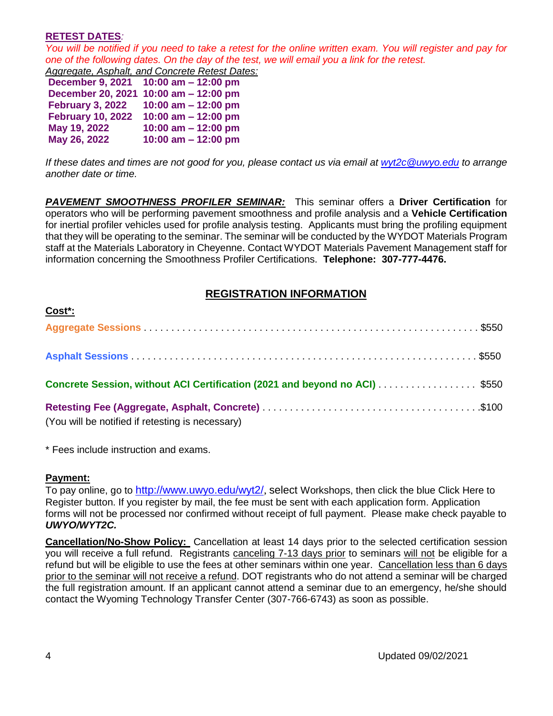#### **RETEST DATES***:*

*You will be notified if you need to take a retest for the online written exam. You will register and pay for one of the following dates. On the day of the test, we will email you a link for the retest.*

|                          | ond or the following dated. On the day or the teat |
|--------------------------|----------------------------------------------------|
|                          | Aggregate, Asphalt, and Concrete Retest Dates:     |
|                          | December 9, 2021 10:00 am - 12:00 pm               |
|                          | December 20, 2021 10:00 am - 12:00 pm              |
| <b>February 3, 2022</b>  | 10:00 am $-$ 12:00 pm                              |
| <b>February 10, 2022</b> | 10:00 am $-$ 12:00 pm                              |
| May 19, 2022             | 10:00 am $-$ 12:00 pm                              |
| May 26, 2022             | 10:00 am $-$ 12:00 pm                              |
|                          |                                                    |

*If these dates and times are not good for you, please contact us via email at [wyt2c@uwyo.edu](mailto:wyt2c@uwyo.edu) to arrange another date or time.*

*PAVEMENT SMOOTHNESS PROFILER SEMINAR:* This seminar offers a **Driver Certification** for operators who will be performing pavement smoothness and profile analysis and a **Vehicle Certification** for inertial profiler vehicles used for profile analysis testing. Applicants must bring the profiling equipment that they will be operating to the seminar. The seminar will be conducted by the WYDOT Materials Program staff at the Materials Laboratory in Cheyenne. Contact WYDOT Materials Pavement Management staff for information concerning the Smoothness Profiler Certifications. **Telephone: 307-777-4476.**

#### **REGISTRATION INFORMATION**

| <u> UUSL .</u>                                                             |  |
|----------------------------------------------------------------------------|--|
|                                                                            |  |
|                                                                            |  |
| Concrete Session, without ACI Certification (2021 and beyond no ACI) \$550 |  |
| (You will be notified if retesting is necessary)                           |  |

\* Fees include instruction and exams.

#### **Payment:**

**Cost\*:**

To pay online, go to <http://www.uwyo.edu/wyt2/>, select Workshops, then click the blue Click Here to Register button. If you register by mail, the fee must be sent with each application form. Application forms will not be processed nor confirmed without receipt of full payment. Please make check payable to *UWYO/WYT2C.*

**Cancellation/No-Show Policy:** Cancellation at least 14 days prior to the selected certification session you will receive a full refund. Registrants canceling 7-13 days prior to seminars will not be eligible for a refund but will be eligible to use the fees at other seminars within one year. Cancellation less than 6 days prior to the seminar will not receive a refund. DOT registrants who do not attend a seminar will be charged the full registration amount. If an applicant cannot attend a seminar due to an emergency, he/she should contact the Wyoming Technology Transfer Center (307-766-6743) as soon as possible.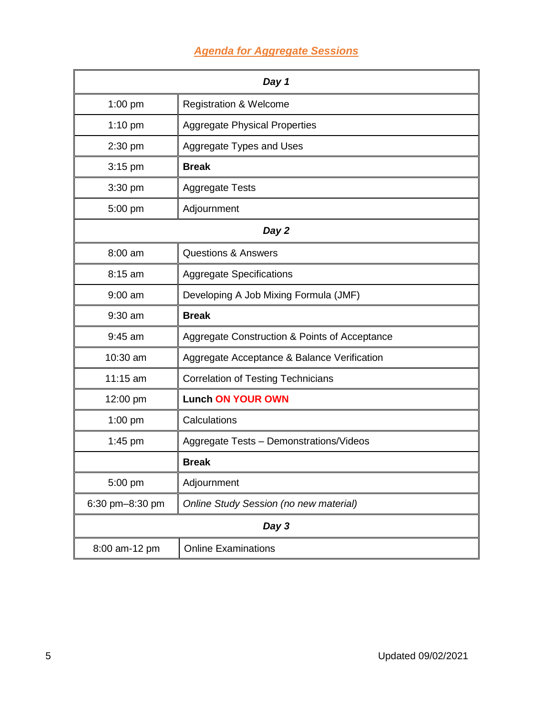# *Agenda for Aggregate Sessions*

| Day 1           |                                               |  |
|-----------------|-----------------------------------------------|--|
| $1:00$ pm       | <b>Registration &amp; Welcome</b>             |  |
| $1:10$ pm       | <b>Aggregate Physical Properties</b>          |  |
| 2:30 pm         | Aggregate Types and Uses                      |  |
| 3:15 pm         | <b>Break</b>                                  |  |
| 3:30 pm         | <b>Aggregate Tests</b>                        |  |
| 5:00 pm         | Adjournment                                   |  |
| Day 2           |                                               |  |
| 8:00 am         | <b>Questions &amp; Answers</b>                |  |
| 8:15 am         | <b>Aggregate Specifications</b>               |  |
| $9:00$ am       | Developing A Job Mixing Formula (JMF)         |  |
| $9:30$ am       | <b>Break</b>                                  |  |
| $9:45$ am       | Aggregate Construction & Points of Acceptance |  |
| 10:30 am        | Aggregate Acceptance & Balance Verification   |  |
| 11:15 am        | <b>Correlation of Testing Technicians</b>     |  |
| 12:00 pm        | <b>Lunch ON YOUR OWN</b>                      |  |
| $1:00$ pm       | Calculations                                  |  |
| $1:45$ pm       | Aggregate Tests - Demonstrations/Videos       |  |
|                 | <b>Break</b>                                  |  |
| 5:00 pm         | Adjournment                                   |  |
| 6:30 pm-8:30 pm | Online Study Session (no new material)        |  |
| Day 3           |                                               |  |
| 8:00 am-12 pm   | <b>Online Examinations</b>                    |  |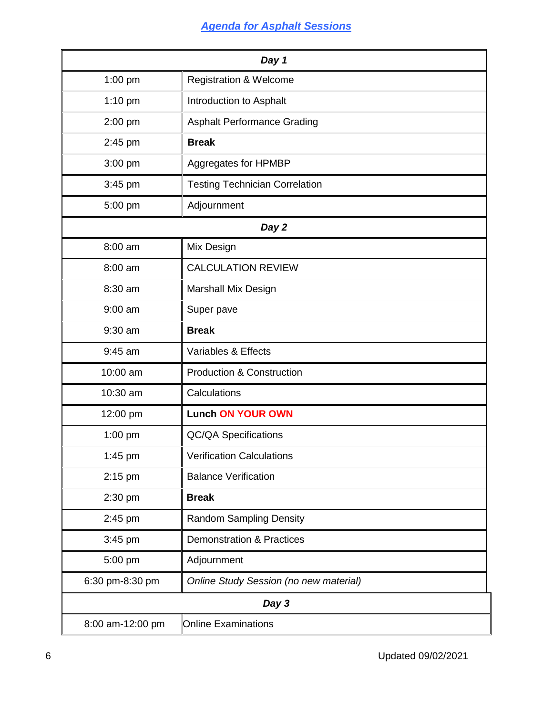# *Agenda for Asphalt Sessions*

| Day 1            |                                        |
|------------------|----------------------------------------|
| 1:00 pm          | <b>Registration &amp; Welcome</b>      |
| 1:10 pm          | Introduction to Asphalt                |
| 2:00 pm          | <b>Asphalt Performance Grading</b>     |
| 2:45 pm          | <b>Break</b>                           |
| 3:00 pm          | Aggregates for HPMBP                   |
| 3:45 pm          | <b>Testing Technician Correlation</b>  |
| 5:00 pm          | Adjournment                            |
| Day 2            |                                        |
| 8:00 am          | Mix Design                             |
| 8:00 am          | <b>CALCULATION REVIEW</b>              |
| 8:30 am          | Marshall Mix Design                    |
| $9:00$ am        | Super pave                             |
| 9:30 am          | <b>Break</b>                           |
| 9:45 am          | Variables & Effects                    |
| 10:00 am         | <b>Production &amp; Construction</b>   |
| 10:30 am         | Calculations                           |
| 12:00 pm         | <b>Lunch ON YOUR OWN</b>               |
| 1:00 pm          | <b>QC/QA Specifications</b>            |
| 1:45 pm          | <b>Verification Calculations</b>       |
| 2:15 pm          | <b>Balance Verification</b>            |
| 2:30 pm          | <b>Break</b>                           |
| 2:45 pm          | <b>Random Sampling Density</b>         |
| 3:45 pm          | <b>Demonstration &amp; Practices</b>   |
| 5:00 pm          | Adjournment                            |
| 6:30 pm-8:30 pm  | Online Study Session (no new material) |
| Day 3            |                                        |
| 8:00 am-12:00 pm | <b>Online Examinations</b>             |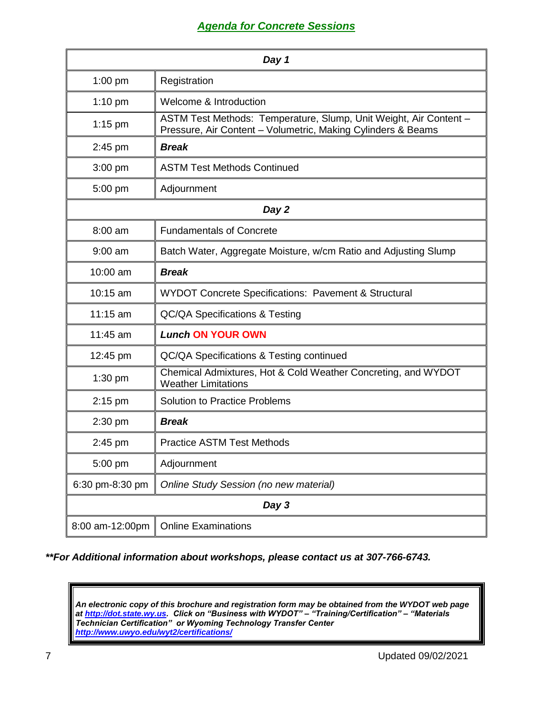### *Agenda for Concrete Sessions*

| Day 1           |                                                                                                                                   |  |
|-----------------|-----------------------------------------------------------------------------------------------------------------------------------|--|
| $1:00$ pm       | Registration                                                                                                                      |  |
| $1:10$ pm       | Welcome & Introduction                                                                                                            |  |
| $1:15$ pm       | ASTM Test Methods: Temperature, Slump, Unit Weight, Air Content -<br>Pressure, Air Content - Volumetric, Making Cylinders & Beams |  |
| $2:45$ pm       | <b>Break</b>                                                                                                                      |  |
| $3:00$ pm       | <b>ASTM Test Methods Continued</b>                                                                                                |  |
| 5:00 pm         | Adjournment                                                                                                                       |  |
| Day 2           |                                                                                                                                   |  |
| 8:00 am         | <b>Fundamentals of Concrete</b>                                                                                                   |  |
| $9:00$ am       | Batch Water, Aggregate Moisture, w/cm Ratio and Adjusting Slump                                                                   |  |
| 10:00 am        | <b>Break</b>                                                                                                                      |  |
| $10:15$ am      | WYDOT Concrete Specifications: Pavement & Structural                                                                              |  |
| 11:15 am        | <b>QC/QA Specifications &amp; Testing</b>                                                                                         |  |
| 11:45 am        | <b>Lunch ON YOUR OWN</b>                                                                                                          |  |
| 12:45 pm        | QC/QA Specifications & Testing continued                                                                                          |  |
| $1:30$ pm       | Chemical Admixtures, Hot & Cold Weather Concreting, and WYDOT<br><b>Weather Limitations</b>                                       |  |
| $2:15$ pm       | <b>Solution to Practice Problems</b>                                                                                              |  |
| 2:30 pm         | <b>Break</b>                                                                                                                      |  |
| 2:45 pm         | <b>Practice ASTM Test Methods</b>                                                                                                 |  |
| 5:00 pm         | Adjournment                                                                                                                       |  |
| 6:30 pm-8:30 pm | Online Study Session (no new material)                                                                                            |  |
| Day 3           |                                                                                                                                   |  |
| 8:00 am-12:00pm | <b>Online Examinations</b>                                                                                                        |  |

*\*\*For Additional information about workshops, please contact us at 307-766-6743.*

*An electronic copy of this brochure and registration form may be obtained from the WYDOT web page at [http://dot.state.wy.us.](http://dot.state.wy.us/) Click on "Business with WYDOT" – "Training/Certification" – "Materials Technician Certification" or Wyoming Technology Transfer Center <http://www.uwyo.edu/wyt2/certifications/>*